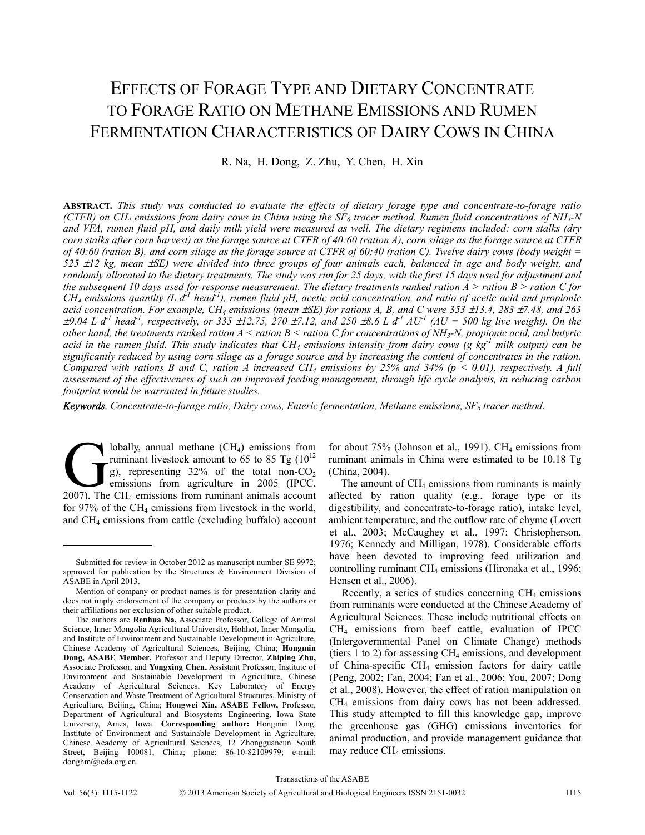# EFFECTS OF FORAGE TYPE AND DIETARY CONCENTRATE TO FORAGE RATIO ON METHANE EMISSIONS AND RUMEN FERMENTATION CHARACTERISTICS OF DAIRY COWS IN CHINA

R. Na, H. Dong, Z. Zhu, Y. Chen, H. Xin

**ABSTRACT.** *This study was conducted to evaluate the effects of dietary forage type and concentrate-to-forage ratio (CTFR) on CH<sub>4</sub> emissions from dairy cows in China using the SF<sub>6</sub> tracer method. Rumen fluid concentrations of NH<sub>4</sub>-N and VFA, rumen fluid pH, and daily milk yield were measured as well. The dietary regimens included: corn stalks (dry corn stalks after corn harvest) as the forage source at CTFR of 40:60 (ration A), corn silage as the forage source at CTFR of 40:60 (ration B), and corn silage as the forage source at CTFR of 60:40 (ration C). Twelve dairy cows (body weight = 525* ±*12 kg, mean* ±*SE) were divided into three groups of four animals each, balanced in age and body weight, and randomly allocated to the dietary treatments. The study was run for 25 days, with the first 15 days used for adjustment and the subsequent 10 days used for response measurement. The dietary treatments ranked ration A > ration B > ration C for*   $CH_4$  emissions quantity (L  $d^T$  head<sup>-1</sup>), rumen fluid pH, acetic acid concentration, and ratio of acetic acid and propionic *acid concentration. For example, CH4 emissions (mean* ±*SE) for rations A, B, and C were 353* ±*13.4, 283* ±*7.48, and 263*   $\pm 9.04$  L d<sup>-1</sup> head<sup>-1</sup>, respectively, or 335  $\pm 12.75$ , 270  $\pm 7.12$ , and 250  $\pm 8.6$  L d<sup>-1</sup> AU<sup>-1</sup> (AU = 500 kg live weight). On the *other hand, the treatments ranked ration A < ration B < ration C for concentrations of NH3-N, propionic acid, and butyric*  acid in the rumen fluid. This study indicates that  $CH_4$  emissions intensity from dairy cows (g  $kg^{-1}$  milk output) can be *significantly reduced by using corn silage as a forage source and by increasing the content of concentrates in the ration. Compared with rations B and C, ration A increased CH<sub>4</sub> emissions by 25% and 34% (* $p < 0.01$ *), respectively. A full assessment of the effectiveness of such an improved feeding management, through life cycle analysis, in reducing carbon footprint would be warranted in future studies.* 

Keywords. Concentrate-to-forage ratio, Dairy cows, Enteric fermentation, Methane emissions, SF<sub>6</sub> tracer method.

lobally, annual methane  $(CH<sub>4</sub>)$  emissions from ruminant livestock amount to 65 to 85 Tg  $(10^{12}$ g), representing  $32\%$  of the total non-CO<sub>2</sub> emissions from agriculture in 2005 (IPCC, lobally, annual methane (CH<sub>4</sub>) emissions from<br>ruminant livestock amount to 65 to 85 Tg ( $10^{12}$ <br>g), representing 32% of the total non-CO<sub>2</sub><br>emissions from agriculture in 2005 (IPCC,<br>2007). The CH<sub>4</sub> emissions from rumin for 97% of the  $CH_4$  emissions from livestock in the world, and CH4 emissions from cattle (excluding buffalo) account

for about  $75\%$  (Johnson et al., 1991). CH<sub>4</sub> emissions from ruminant animals in China were estimated to be 10.18 Tg (China, 2004).

The amount of  $CH<sub>4</sub>$  emissions from ruminants is mainly affected by ration quality (e.g., forage type or its digestibility, and concentrate-to-forage ratio), intake level, ambient temperature, and the outflow rate of chyme (Lovett et al., 2003; McCaughey et al., 1997; Christopherson, 1976; Kennedy and Milligan, 1978). Considerable efforts have been devoted to improving feed utilization and controlling ruminant CH<sub>4</sub> emissions (Hironaka et al., 1996; Hensen et al., 2006).

Recently, a series of studies concerning  $CH<sub>4</sub>$  emissions from ruminants were conducted at the Chinese Academy of Agricultural Sciences. These include nutritional effects on CH4 emissions from beef cattle, evaluation of IPCC (Intergovernmental Panel on Climate Change) methods (tiers 1 to 2) for assessing  $CH_4$  emissions, and development of China-specific CH4 emission factors for dairy cattle (Peng, 2002; Fan, 2004; Fan et al., 2006; You, 2007; Dong et al., 2008). However, the effect of ration manipulation on CH4 emissions from dairy cows has not been addressed. This study attempted to fill this knowledge gap, improve the greenhouse gas (GHG) emissions inventories for animal production, and provide management guidance that may reduce  $CH<sub>4</sub>$  emissions.

Submitted for review in October 2012 as manuscript number SE 9972; approved for publication by the Structures & Environment Division of ASABE in April 2013.

Mention of company or product names is for presentation clarity and does not imply endorsement of the company or products by the authors or their affiliations nor exclusion of other suitable product.

The authors are **Renhua Na,** Associate Professor, College of Animal Science, Inner Mongolia Agricultural University, Hohhot, Inner Mongolia, and Institute of Environment and Sustainable Development in Agriculture, Chinese Academy of Agricultural Sciences, Beijing, China; **Hongmin Dong, ASABE Member,** Professor and Deputy Director, **Zhiping Zhu,** Associate Professor, and **Yongxing Chen,** Assistant Professor, Institute of Environment and Sustainable Development in Agriculture, Chinese Academy of Agricultural Sciences, Key Laboratory of Energy Conservation and Waste Treatment of Agricultural Structures, Ministry of Agriculture, Beijing, China; **Hongwei Xin, ASABE Fellow,** Professor, Department of Agricultural and Biosystems Engineering, Iowa State University, Ames, Iowa. **Corresponding author:** Hongmin Dong, Institute of Environment and Sustainable Development in Agriculture, Chinese Academy of Agricultural Sciences, 12 Zhongguancun South Street, Beijing 100081, China; phone: 86-10-82109979; e-mail: donghm@ieda.org.cn.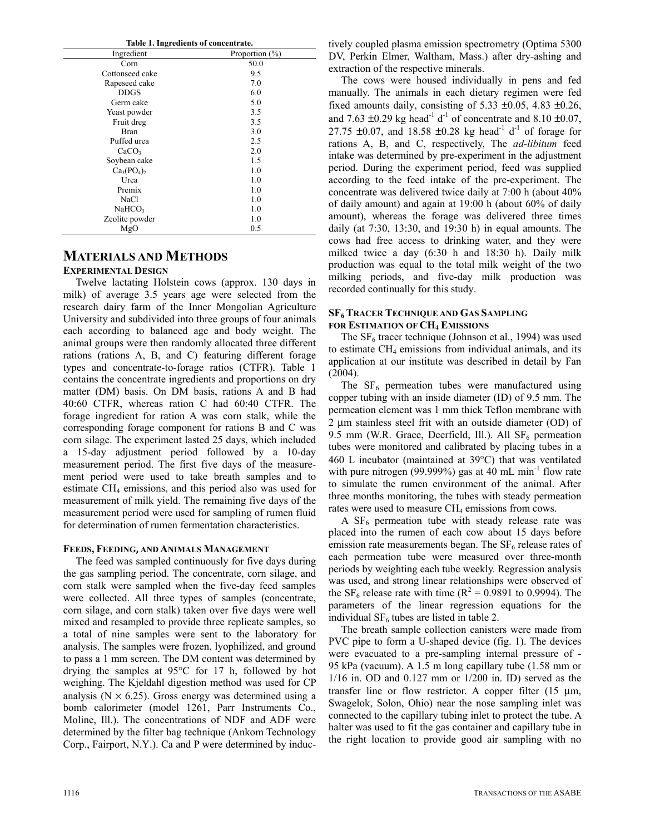|  |  |  | Table 1. Ingredients of concentrate. |
|--|--|--|--------------------------------------|
|--|--|--|--------------------------------------|

| Ingredient         | Proportion $(\% )$ |
|--------------------|--------------------|
| Corn               | 50.0               |
| Cottonseed cake    | 9.5                |
| Rapeseed cake      | 7.0                |
| <b>DDGS</b>        | 6.0                |
| Germ cake          | 5.0                |
| Yeast powder       | 3.5                |
| Fruit dreg         | 3.5                |
| <b>Bran</b>        | 3.0                |
| Puffed urea        | 2.5                |
| CaCO <sub>3</sub>  | 2.0                |
| Soybean cake       | 1.5                |
| $Ca3(PO4)2$        | 1.0                |
| Urea               | 1.0                |
| Premix             | 1.0                |
| NaCl               | 1.0                |
| NaHCO <sub>3</sub> | 1.0                |
| Zeolite powder     | 1.0                |
| MgO                | 0.5                |

## **MATERIALS AND METHODS**

## **EXPERIMENTAL DESIGN**

Twelve lactating Holstein cows (approx. 130 days in milk) of average 3.5 years age were selected from the research dairy farm of the Inner Mongolian Agriculture University and subdivided into three groups of four animals each according to balanced age and body weight. The animal groups were then randomly allocated three different rations (rations A, B, and C) featuring different forage types and concentrate-to-forage ratios (CTFR). Table 1 contains the concentrate ingredients and proportions on dry matter (DM) basis. On DM basis, rations A and B had 40:60 CTFR, whereas ration C had 60:40 CTFR. The forage ingredient for ration A was corn stalk, while the corresponding forage component for rations B and C was corn silage. The experiment lasted 25 days, which included a 15-day adjustment period followed by a 10-day measurement period. The first five days of the measurement period were used to take breath samples and to estimate  $CH<sub>4</sub>$  emissions, and this period also was used for measurement of milk yield. The remaining five days of the measurement period were used for sampling of rumen fluid for determination of rumen fermentation characteristics.

#### **FEEDS, FEEDING, AND ANIMALS MANAGEMENT**

The feed was sampled continuously for five days during the gas sampling period. The concentrate, corn silage, and corn stalk were sampled when the five-day feed samples were collected. All three types of samples (concentrate, corn silage, and corn stalk) taken over five days were well mixed and resampled to provide three replicate samples, so a total of nine samples were sent to the laboratory for analysis. The samples were frozen, lyophilized, and ground to pass a 1 mm screen. The DM content was determined by drying the samples at 95°C for 17 h, followed by hot weighing. The Kjeldahl digestion method was used for CP analysis ( $N \times 6.25$ ). Gross energy was determined using a bomb calorimeter (model 1261, Parr Instruments Co., Moline, Ill.). The concentrations of NDF and ADF were determined by the filter bag technique (Ankom Technology Corp., Fairport, N.Y.). Ca and P were determined by inductively coupled plasma emission spectrometry (Optima 5300 DV, Perkin Elmer, Waltham, Mass.) after dry-ashing and extraction of the respective minerals.

The cows were housed individually in pens and fed manually. The animals in each dietary regimen were fed fixed amounts daily, consisting of  $5.33 \pm 0.05$ ,  $4.83 \pm 0.26$ , and 7.63  $\pm$ 0.29 kg head<sup>-1</sup> d<sup>-1</sup> of concentrate and 8.10  $\pm$ 0.07, 27.75  $\pm 0.07$ , and 18.58  $\pm 0.28$  kg head<sup>-1</sup> d<sup>-1</sup> of forage for rations A, B, and C, respectively, The *ad-libitum* feed intake was determined by pre-experiment in the adjustment period. During the experiment period, feed was supplied according to the feed intake of the pre-experiment. The concentrate was delivered twice daily at 7:00 h (about 40% of daily amount) and again at 19:00 h (about 60% of daily amount), whereas the forage was delivered three times daily (at 7:30, 13:30, and 19:30 h) in equal amounts. The cows had free access to drinking water, and they were milked twice a day (6:30 h and 18:30 h). Daily milk production was equal to the total milk weight of the two milking periods, and five-day milk production was recorded continually for this study.

## **SF6 TRACER TECHNIQUE AND GAS SAMPLING FOR ESTIMATION OF CH4 EMISSIONS**

The  $SF<sub>6</sub>$  tracer technique (Johnson et al., 1994) was used to estimate  $CH<sub>4</sub>$  emissions from individual animals, and its application at our institute was described in detail by Fan (2004).

The  $SF<sub>6</sub>$  permeation tubes were manufactured using copper tubing with an inside diameter (ID) of 9.5 mm. The permeation element was 1 mm thick Teflon membrane with 2 μm stainless steel frit with an outside diameter (OD) of 9.5 mm (W.R. Grace, Deerfield, Ill.). All  $SF_6$  permeation tubes were monitored and calibrated by placing tubes in a 460 L incubator (maintained at 39°C) that was ventilated with pure nitrogen (99.999%) gas at 40 mL min<sup>-1</sup> flow rate to simulate the rumen environment of the animal. After three months monitoring, the tubes with steady permeation rates were used to measure  $CH_4$  emissions from cows.

A  $SF<sub>6</sub>$  permeation tube with steady release rate was placed into the rumen of each cow about 15 days before emission rate measurements began. The  $SF<sub>6</sub>$  release rates of each permeation tube were measured over three-month periods by weighting each tube weekly. Regression analysis was used, and strong linear relationships were observed of the SF<sub>6</sub> release rate with time ( $R^2 = 0.9891$  to 0.9994). The parameters of the linear regression equations for the individual  $SF<sub>6</sub>$  tubes are listed in table 2.

The breath sample collection canisters were made from PVC pipe to form a U-shaped device (fig. 1). The devices were evacuated to a pre-sampling internal pressure of - 95 kPa (vacuum). A 1.5 m long capillary tube (1.58 mm or 1/16 in. OD and 0.127 mm or 1/200 in. ID) served as the transfer line or flow restrictor. A copper filter (15 μm, Swagelok, Solon, Ohio) near the nose sampling inlet was connected to the capillary tubing inlet to protect the tube. A halter was used to fit the gas container and capillary tube in the right location to provide good air sampling with no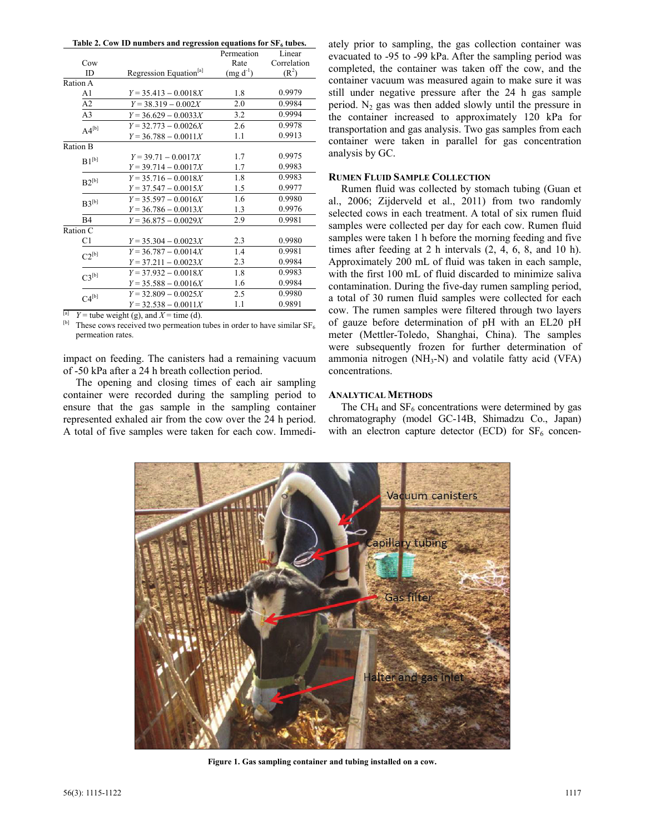|  | Table 2. Cow ID numbers and regression equations for $SF6$ tubes. |
|--|-------------------------------------------------------------------|
|--|-------------------------------------------------------------------|

|                 |                                    | Permeation    | Linear      |
|-----------------|------------------------------------|---------------|-------------|
| Cow             |                                    | Rate          | Correlation |
| ID              | Regression Equation <sup>[a]</sup> | $(mg d^{-1})$ | $(R^2)$     |
| Ration A        |                                    |               |             |
| A1              | $Y = 35.413 - 0.0018X$             | 1.8           | 0.9979      |
| A2              | $Y = 38.319 - 0.002X$              | 2.0           | 0.9984      |
| A <sub>3</sub>  | $Y = 36.629 - 0.0033X$             | 3.2           | 0.9994      |
| $A4^{[b]}$      | $Y = 32.773 - 0.0026X$             | 2.6           | 0.9978      |
|                 | $Y = 36.788 - 0.0011X$             | 1.1           | 0.9913      |
| <b>Ration B</b> |                                    |               |             |
| $B1^{[b]}$      | $Y = 39.71 - 0.0017X$              | 1.7           | 0.9975      |
|                 | $Y = 39.714 - 0.0017X$             | 1.7           | 0.9983      |
| $B2^{[b]}$      | $Y = 35.716 - 0.0018X$             | 1.8           | 0.9983      |
|                 | $Y = 37.547 - 0.0015X$             | 1.5           | 0.9977      |
| $B3^{[b]}$      | $Y = 35.597 - 0.0016X$             | 1.6           | 0.9980      |
|                 | $Y = 36.786 - 0.0013X$             | 1.3           | 0.9976      |
| B4              | $Y = 36.875 - 0.0029X$             | 2.9           | 0.9981      |
| Ration C        |                                    |               |             |
| C1              | $Y = 35.304 - 0.0023X$             | 2.3           | 0.9980      |
| $C2^{[b]}$      | $Y = 36.787 - 0.0014X$             | 1.4           | 0.9981      |
|                 | $Y = 37.211 - 0.0023X$             | 2.3           | 0.9984      |
| $C3^{[b]}$      | $Y = 37.932 - 0.0018X$             | 1.8           | 0.9983      |
|                 | $Y = 35.588 - 0.0016X$             | 1.6           | 0.9984      |
| $C4^{[b]}$      | $Y = 32.809 - 0.0025X$             | 2.5           | 0.9980      |
|                 | $Y = 32.538 - 0.0011X$             | 1.1           | 0.9891      |

<sup>[a]</sup> *Y* = tube weight (g), and *X* = time (d). <br><sup>[b]</sup> These cows received two permeation tubes in order to have similar SF<sub>6</sub> permeation rates.

impact on feeding. The canisters had a remaining vacuum of -50 kPa after a 24 h breath collection period.

The opening and closing times of each air sampling container were recorded during the sampling period to ensure that the gas sample in the sampling container represented exhaled air from the cow over the 24 h period. A total of five samples were taken for each cow. Immedi-

ately prior to sampling, the gas collection container was evacuated to -95 to -99 kPa. After the sampling period was completed, the container was taken off the cow, and the container vacuum was measured again to make sure it was still under negative pressure after the 24 h gas sample period.  $N_2$  gas was then added slowly until the pressure in the container increased to approximately 120 kPa for transportation and gas analysis. Two gas samples from each container were taken in parallel for gas concentration analysis by GC.

#### **RUMEN FLUID SAMPLE COLLECTION**

Rumen fluid was collected by stomach tubing (Guan et al., 2006; Zijderveld et al., 2011) from two randomly selected cows in each treatment. A total of six rumen fluid samples were collected per day for each cow. Rumen fluid samples were taken 1 h before the morning feeding and five times after feeding at 2 h intervals (2, 4, 6, 8, and 10 h). Approximately 200 mL of fluid was taken in each sample, with the first 100 mL of fluid discarded to minimize saliva contamination. During the five-day rumen sampling period, a total of 30 rumen fluid samples were collected for each cow. The rumen samples were filtered through two layers of gauze before determination of pH with an EL20 pH meter (Mettler-Toledo, Shanghai, China). The samples were subsequently frozen for further determination of ammonia nitrogen  $(NH_3-N)$  and volatile fatty acid (VFA) concentrations.

#### **ANALYTICAL METHODS**

The  $CH_4$  and  $SF_6$  concentrations were determined by gas chromatography (model GC-14B, Shimadzu Co., Japan) with an electron capture detector (ECD) for  $SF<sub>6</sub>$  concen-



**Figure 1. Gas sampling container and tubing installed on a cow.**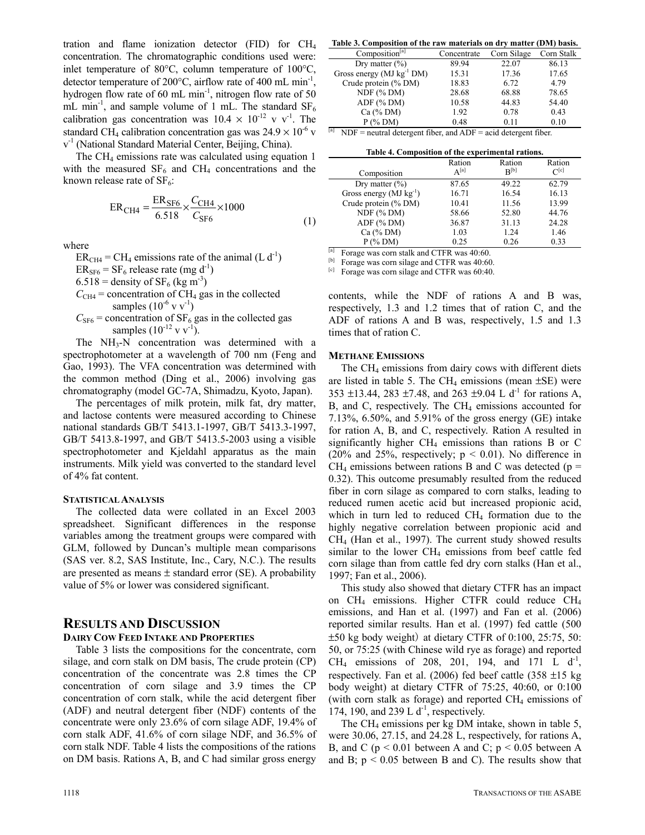tration and flame ionization detector (FID) for CH4 concentration. The chromatographic conditions used were: inlet temperature of 80°C, column temperature of 100°C, detector temperature of 200°C, airflow rate of 400 mL min-1, hydrogen flow rate of 60 mL min<sup>-1</sup>, nitrogen flow rate of 50 mL min<sup>-1</sup>, and sample volume of 1 mL. The standard  $SF_6$ calibration gas concentration was  $10.4 \times 10^{-12}$  v v<sup>-1</sup>. The standard CH<sub>4</sub> calibration concentration gas was  $24.9 \times 10^{-6}$  v v-1 (National Standard Material Center, Beijing, China).

The CH<sub>4</sub> emissions rate was calculated using equation 1 with the measured  $SF_6$  and  $CH_4$  concentrations and the known release rate of  $SF_6$ :

$$
ER_{CH4} = \frac{ER_{SF6}}{6.518} \times \frac{C_{CH4}}{C_{SF6}} \times 1000
$$
 (1)

where

 $ER<sub>CH4</sub> = CH<sub>4</sub>$  emissions rate of the animal (L d<sup>-1</sup>)  $ER_{SFG} = SF_6$  release rate (mg d<sup>-1</sup>)  $6.518$  = density of SF<sub>6</sub> (kg m<sup>-3</sup>)  $C_{CH4}$  = concentration of CH<sub>4</sub> gas in the collected samples  $(10^{-6} \text{ v v}^{-1})$  $C<sub>SF6</sub>$  = concentration of SF<sub>6</sub> gas in the collected gas samples  $(10^{-12} \text{ v v}^{-1})$ .

The  $NH<sub>3</sub>-N$  concentration was determined with a spectrophotometer at a wavelength of 700 nm (Feng and Gao, 1993). The VFA concentration was determined with the common method (Ding et al., 2006) involving gas chromatography (model GC-7A, Shimadzu, Kyoto, Japan).

The percentages of milk protein, milk fat, dry matter, and lactose contents were measured according to Chinese national standards GB/T 5413.1-1997, GB/T 5413.3-1997, GB/T 5413.8-1997, and GB/T 5413.5-2003 using a visible spectrophotometer and Kjeldahl apparatus as the main instruments. Milk yield was converted to the standard level of 4% fat content.

#### **STATISTICAL ANALYSIS**

The collected data were collated in an Excel 2003 spreadsheet. Significant differences in the response variables among the treatment groups were compared with GLM, followed by Duncan's multiple mean comparisons (SAS ver. 8.2, SAS Institute, Inc., Cary, N.C.). The results are presented as means  $\pm$  standard error (SE). A probability value of 5% or lower was considered significant.

## **RESULTS AND DISCUSSION**

## **DAIRY COW FEED INTAKE AND PROPERTIES**

Table 3 lists the compositions for the concentrate, corn silage, and corn stalk on DM basis, The crude protein (CP) concentration of the concentrate was 2.8 times the CP concentration of corn silage and 3.9 times the CP concentration of corn stalk, while the acid detergent fiber (ADF) and neutral detergent fiber (NDF) contents of the concentrate were only 23.6% of corn silage ADF, 19.4% of corn stalk ADF, 41.6% of corn silage NDF, and 36.5% of corn stalk NDF. Table 4 lists the compositions of the rations on DM basis. Rations A, B, and C had similar gross energy

**Table 3. Composition of the raw materials on dry matter (DM) basis.**

| Tubic of Composition of the fun materials on ary matter (DIT) busis. |             |             |            |  |  |
|----------------------------------------------------------------------|-------------|-------------|------------|--|--|
| Composition <sup>[a]</sup>                                           | Concentrate | Corn Silage | Corn Stalk |  |  |
| Dry matter $(\% )$                                                   | 89.94       | 22.07       | 86.13      |  |  |
| Gross energy $(MJ kg^{-1} DM)$                                       | 15.31       | 17.36       | 17.65      |  |  |
| Crude protein (% DM)                                                 | 18.83       | 6.72        | 4.79       |  |  |
| $NDF$ (% DM)                                                         | 28.68       | 68.88       | 78.65      |  |  |
| $ADF$ (% DM)                                                         | 10.58       | 44.83       | 54.40      |  |  |
| Ca $(\%$ DM)                                                         | 1.92        | 0.78        | 0.43       |  |  |
| $P$ (% DM)                                                           | 0.48        | 0.11        | 0.10       |  |  |

 $\begin{bmatrix} \boxed{a} \\ \end{bmatrix}$  NDF = neutral detergent fiber, and ADF = acid detergent fiber.

|  | Table 4. Composition of the experimental rations. |  |  |  |
|--|---------------------------------------------------|--|--|--|
|--|---------------------------------------------------|--|--|--|

|                             | Ration    | Ration<br>$R^{[b]}$ | Ration<br>$\cap^{[c]}$ |
|-----------------------------|-----------|---------------------|------------------------|
| Composition                 | $A^{[a]}$ |                     |                        |
| Dry matter $(\% )$          | 87.65     | 49.22               | 62.79                  |
| Gross energy $(MJ kg^{-1})$ | 16.71     | 16.54               | 16.13                  |
| Crude protein (% DM)        | 10.41     | 11.56               | 13.99                  |
| $NDF$ (% DM)                | 58.66     | 52.80               | 44.76                  |
| $ADF$ (% DM)                | 36.87     | 31.13               | 24.28                  |
| Ca $(\%$ DM)                | 1.03      | 1.24                | 1.46                   |
| $P$ (% DM)                  | 0.25      | 0.26                | 0.33                   |
|                             |           |                     |                        |

 $\lbrack$ <sup>[a]</sup> Forage was corn stalk and CTFR was 40:60.

<sup>[b]</sup> Forage was corn silage and CTFR was 40:60.<br><sup>[c]</sup> Forage was corn silage and CTFR was 60:40.

contents, while the NDF of rations A and B was, respectively, 1.3 and 1.2 times that of ration C, and the ADF of rations A and B was, respectively, 1.5 and 1.3 times that of ration C.

### **METHANE EMISSIONS**

The  $CH<sub>4</sub>$  emissions from dairy cows with different diets are listed in table 5. The  $CH<sub>4</sub>$  emissions (mean  $\pm$ SE) were 353 ±13.44, 283 ±7.48, and 263 ±9.04 L  $d^{-1}$  for rations A, B, and C, respectively. The CH<sub>4</sub> emissions accounted for 7.13%, 6.50%, and 5.91% of the gross energy (GE) intake for ration A, B, and C, respectively. Ration A resulted in significantly higher  $CH_4$  emissions than rations B or C (20% and 25%, respectively;  $p < 0.01$ ). No difference in  $CH<sub>4</sub>$  emissions between rations B and C was detected (p = 0.32). This outcome presumably resulted from the reduced fiber in corn silage as compared to corn stalks, leading to reduced rumen acetic acid but increased propionic acid, which in turn led to reduced  $CH<sub>4</sub>$  formation due to the highly negative correlation between propionic acid and CH4 (Han et al., 1997). The current study showed results similar to the lower  $CH_4$  emissions from beef cattle fed corn silage than from cattle fed dry corn stalks (Han et al., 1997; Fan et al., 2006).

This study also showed that dietary CTFR has an impact on  $CH_4$  emissions. Higher CTFR could reduce  $CH_4$ emissions, and Han et al. (1997) and Fan et al. (2006) reported similar results. Han et al. (1997) fed cattle (500  $\pm 50$  kg body weight) at dietary CTFR of 0:100, 25:75, 50: 50, or 75:25 (with Chinese wild rye as forage) and reported  $CH_4$  emissions of 208, 201, 194, and 171 L  $d^{-1}$ , respectively. Fan et al.  $(2006)$  fed beef cattle  $(358 \pm 15 \text{ kg})$ body weight) at dietary CTFR of 75:25, 40:60, or 0:100 (with corn stalk as forage) and reported  $CH<sub>4</sub>$  emissions of 174, 190, and 239 L  $d^{-1}$ , respectively.

The  $CH_4$  emissions per kg DM intake, shown in table 5, were 30.06, 27.15, and 24.28 L, respectively, for rations A, B, and C ( $p < 0.01$  between A and C;  $p < 0.05$  between A and B;  $p < 0.05$  between B and C). The results show that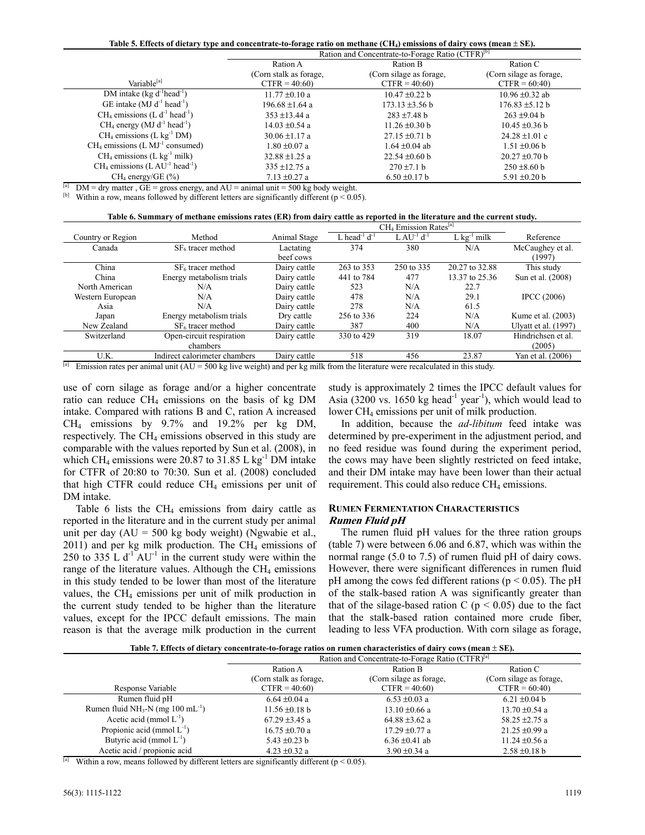Table 5. Effects of dietary type and concentrate-to-forage ratio on methane (CH<sub>4</sub>) emissions of dairy cows (mean  $\pm$  SE).

| Ration and Concentrate-to-Forage Ratio (CTFR) <sup>[b]</sup> |                             |                         |  |  |
|--------------------------------------------------------------|-----------------------------|-------------------------|--|--|
| Ration A                                                     | Ration B                    | Ration C                |  |  |
| (Corn stalk as forage,                                       | (Corn silage as forage,     | (Corn silage as forage, |  |  |
| $CTFR = 40:60$                                               | $CTFR = 40:60$              | $CTFR = 60:40$          |  |  |
| $11.77 \pm 0.10$ a                                           | $10.47 \pm 0.22$ b          | $10.96 \pm 0.32$ ab     |  |  |
| 196.68 ±1.64 a                                               | $173.13 \pm 3.56 \text{ b}$ | $176.83 \pm 5.12$ b     |  |  |
| $353 \pm 13.44$ a                                            | $283 \pm 7.48$ b            | $263 \pm 9.04$ b        |  |  |
| $14.03 \pm 0.54$ a                                           | $11.26 \pm 0.30$ b          | $10.45 \pm 0.36$ b      |  |  |
| $30.06 \pm 1.17$ a                                           | $27.15 \pm 0.71$ b          | $24.28 \pm 1.01$ c      |  |  |
| $1.80 \pm 0.07$ a                                            | $1.64 \pm 0.04$ ab          | $1.51 \pm 0.06$ b       |  |  |
| $32.88 \pm 1.25$ a                                           | $22.54 \pm 0.60$ b          | $20.27 \pm 0.70$ b      |  |  |
| $335 \pm 12.75$ a                                            | $270 \pm 7.1 b$             | $250 \pm 8.60$ b        |  |  |
| $7.13 \pm 0.27$ a                                            | $6.50 \pm 0.17$ b           | 5.91 $\pm$ 0.20 b       |  |  |
|                                                              |                             |                         |  |  |

<sup>[a]</sup> DM = dry matter, GE = gross energy, and AU = animal unit = 500 kg body weight.<br><sup>[b]</sup> Within a row, means followed by different letters are significantly different (p < 0.05).

|                   |                                        |              |                               | $CH4$ Emission Rates <sup>[a]</sup> |                           |                      |
|-------------------|----------------------------------------|--------------|-------------------------------|-------------------------------------|---------------------------|----------------------|
| Country or Region | Method                                 | Animal Stage | L head <sup>-1</sup> $d^{-1}$ | $L A U-1 d-1$                       | $L$ kg <sup>-1</sup> milk | Reference            |
| Canada            | $SF6$ tracer method                    | Lactating    | 374                           | 380                                 | N/A                       | McCaughey et al.     |
|                   |                                        | beef cows    |                               |                                     |                           | (1997)               |
| China             | $SF6$ tracer method                    | Dairy cattle | 263 to 353                    | 250 to 335                          | 20.27 to 32.88            | This study           |
| China             | Energy metabolism trials               | Dairy cattle | 441 to 784                    | 477                                 | 13.37 to 25.36            | Sun et al. (2008)    |
| North American    | N/A                                    | Dairy cattle | 523                           | N/A                                 | 22.7                      |                      |
| Western European  | N/A                                    | Dairy cattle | 478                           | N/A                                 | 29.1                      | <b>IPCC</b> (2006)   |
| Asia              | N/A                                    | Dairy cattle | 278                           | N/A                                 | 61.5                      |                      |
| Japan             | Energy metabolism trials               | Dry cattle   | 256 to 336                    | 224                                 | N/A                       | Kume et al. (2003)   |
| New Zealand       | $SF6$ tracer method                    | Dairy cattle | 387                           | 400                                 | N/A                       | Ulyatt et al. (1997) |
| Switzerland       | $\overline{Open}$ -circuit respiration | Dairy cattle | 330 to 429                    | 319                                 | 18.07                     | Hindrichsen et al.   |
|                   | chambers                               |              |                               |                                     |                           | (2005)               |
| U.K.              | Indirect calorimeter chambers          | Dairy cattle | 518                           | 456                                 | 23.87                     | Yan et al. (2006)    |

<sup>[a]</sup> Emission rates per animal unit (AU = 500 kg live weight) and per kg milk from the literature were recalculated in this study.

use of corn silage as forage and/or a higher concentrate ratio can reduce  $CH_4$  emissions on the basis of kg DM intake. Compared with rations B and C, ration A increased  $CH<sub>4</sub>$  emissions by 9.7% and 19.2% per kg DM, respectively. The CH<sub>4</sub> emissions observed in this study are comparable with the values reported by Sun et al. (2008), in which CH<sub>4</sub> emissions were 20.87 to 31.85 L kg<sup>-1</sup> DM intake for CTFR of 20:80 to 70:30. Sun et al. (2008) concluded that high CTFR could reduce  $CH<sub>4</sub>$  emissions per unit of DM intake.

Table 6 lists the  $CH<sub>4</sub>$  emissions from dairy cattle as reported in the literature and in the current study per animal unit per day  $(AU = 500 \text{ kg}$  body weight) (Ngwabie et al.,  $2011$ ) and per kg milk production. The CH<sub>4</sub> emissions of 250 to  $335$  L d<sup>-1</sup> AU<sup>-1</sup> in the current study were within the range of the literature values. Although the  $CH<sub>4</sub>$  emissions in this study tended to be lower than most of the literature values, the  $CH<sub>4</sub>$  emissions per unit of milk production in the current study tended to be higher than the literature values, except for the IPCC default emissions. The main reason is that the average milk production in the current study is approximately 2 times the IPCC default values for Asia (3200 vs. 1650 kg head<sup>-1</sup> year<sup>-1</sup>), which would lead to lower CH<sub>4</sub> emissions per unit of milk production.

In addition, because the *ad-libitum* feed intake was determined by pre-experiment in the adjustment period, and no feed residue was found during the experiment period, the cows may have been slightly restricted on feed intake, and their DM intake may have been lower than their actual requirement. This could also reduce  $CH<sub>4</sub>$  emissions.

#### **RUMEN FERMENTATION CHARACTERISTICS Rumen Fluid pH**

The rumen fluid pH values for the three ration groups (table 7) were between 6.06 and 6.87, which was within the normal range (5.0 to 7.5) of rumen fluid pH of dairy cows. However, there were significant differences in rumen fluid pH among the cows fed different rations ( $p \le 0.05$ ). The pH of the stalk-based ration A was significantly greater than that of the silage-based ration C ( $p < 0.05$ ) due to the fact that the stalk-based ration contained more crude fiber, leading to less VFA production. With corn silage as forage,

Table 7. Effects of dietary concentrate-to-forage ratios on rumen characteristics of dairy cows (mean  $\pm$  SE).

|                                                            | Ration and Concentrate-to-Forage Ratio (CTFR) <sup>[a]</sup> |                         |                         |  |
|------------------------------------------------------------|--------------------------------------------------------------|-------------------------|-------------------------|--|
|                                                            | Ration A                                                     | Ration B                | Ration C                |  |
|                                                            | (Corn stalk as forage,                                       | (Corn silage as forage, | (Corn silage as forage, |  |
| Response Variable                                          | $CTFR = 40:60$                                               | $CTFR = 40:60$          | $CTFR = 60:40$          |  |
| Rumen fluid pH                                             | $6.64 \pm 0.04$ a                                            | $6.53 \pm 0.03$ a       | $6.21 \pm 0.04$ b       |  |
| Rumen fluid NH <sub>3</sub> -N (mg $100 \text{ mL}^{-1}$ ) | $11.56 \pm 0.18$ b                                           | $13.10 \pm 0.66$ a      | $13.70 \pm 0.54$ a      |  |
| Acetic acid (mmol $L^{-1}$ )                               | $67.29 \pm 3.45$ a                                           | 64.88 $\pm$ 3.62 a      | 58.25 $\pm$ 2.75 a      |  |
| Propionic acid (mmol $L^{-1}$ )                            | $16.75 \pm 0.70$ a                                           | $17.29 \pm 0.77$ a      | $21.25 \pm 0.99$ a      |  |
| Butyric acid (mmol $L^{-1}$ )                              | 5.43 $\pm$ 0.23 b                                            | $6.36 \pm 0.41$ ab      | $11.24 \pm 0.56$ a      |  |
| Acetic acid / propionic acid                               | $4.23 \pm 0.32$ a                                            | $3.90 \pm 0.34$ a       | $2.58 \pm 0.18$ b       |  |

<sup>[a]</sup> Within a row, means followed by different letters are significantly different (p < 0.05).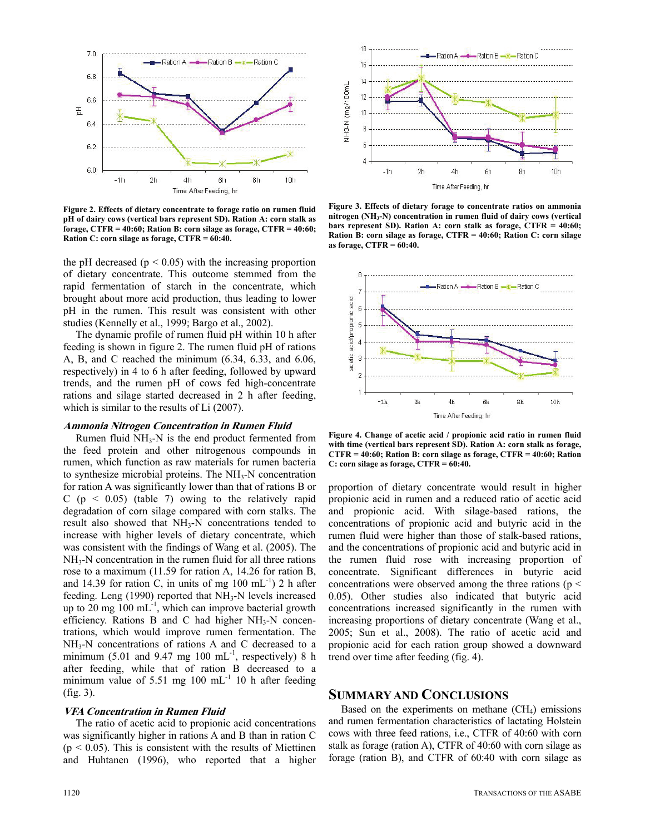

**Figure 2. Effects of dietary concentrate to forage ratio on rumen fluid pH of dairy cows (vertical bars represent SD). Ration A: corn stalk as forage, CTFR = 40:60; Ration B: corn silage as forage, CTFR = 40:60; Ration C: corn silage as forage, CTFR = 60:40.** 

the pH decreased ( $p < 0.05$ ) with the increasing proportion of dietary concentrate. This outcome stemmed from the rapid fermentation of starch in the concentrate, which brought about more acid production, thus leading to lower pH in the rumen. This result was consistent with other studies (Kennelly et al., 1999; Bargo et al., 2002).

The dynamic profile of rumen fluid pH within 10 h after feeding is shown in figure 2. The rumen fluid pH of rations A, B, and C reached the minimum (6.34, 6.33, and 6.06, respectively) in 4 to 6 h after feeding, followed by upward trends, and the rumen pH of cows fed high-concentrate rations and silage started decreased in 2 h after feeding, which is similar to the results of Li (2007).

## **Ammonia Nitrogen Concentration in Rumen Fluid**

Rumen fluid  $NH_3-N$  is the end product fermented from the feed protein and other nitrogenous compounds in rumen, which function as raw materials for rumen bacteria to synthesize microbial proteins. The  $NH<sub>3</sub>-N$  concentration for ration A was significantly lower than that of rations B or C ( $p \le 0.05$ ) (table 7) owing to the relatively rapid degradation of corn silage compared with corn stalks. The result also showed that NH<sub>3</sub>-N concentrations tended to increase with higher levels of dietary concentrate, which was consistent with the findings of Wang et al. (2005). The NH3-N concentration in the rumen fluid for all three rations rose to a maximum (11.59 for ration A, 14.26 for ration B, and 14.39 for ration C, in units of mg  $100 \text{ mL}^{-1}$ ) 2 h after feeding. Leng (1990) reported that NH<sub>3</sub>-N levels increased up to 20 mg  $100 \text{ mL}^{-1}$ , which can improve bacterial growth efficiency. Rations  $B$  and  $C$  had higher NH<sub>3</sub>-N concentrations, which would improve rumen fermentation. The NH3-N concentrations of rations A and C decreased to a minimum (5.01 and 9.47 mg 100 mL $^{-1}$ , respectively) 8 h after feeding, while that of ration B decreased to a minimum value of 5.51 mg 100 mL $^{-1}$  10 h after feeding (fig. 3).

#### **VFA Concentration in Rumen Fluid**

The ratio of acetic acid to propionic acid concentrations was significantly higher in rations A and B than in ration C  $(p < 0.05)$ . This is consistent with the results of Miettinen and Huhtanen (1996), who reported that a higher





**Figure 3. Effects of dietary forage to concentrate ratios on ammonia nitrogen (NH3-N) concentration in rumen fluid of dairy cows (vertical bars represent SD). Ration A: corn stalk as forage, CTFR = 40:60; Ration B: corn silage as forage, CTFR = 40:60; Ration C: corn silage as forage, CTFR = 60:40.** 



**Figure 4. Change of acetic acid / propionic acid ratio in rumen fluid with time (vertical bars represent SD). Ration A: corn stalk as forage, CTFR = 40:60; Ration B: corn silage as forage, CTFR = 40:60; Ration C: corn silage as forage, CTFR = 60:40.** 

proportion of dietary concentrate would result in higher propionic acid in rumen and a reduced ratio of acetic acid and propionic acid. With silage-based rations, the concentrations of propionic acid and butyric acid in the rumen fluid were higher than those of stalk-based rations, and the concentrations of propionic acid and butyric acid in the rumen fluid rose with increasing proportion of concentrate. Significant differences in butyric acid concentrations were observed among the three rations ( $p \le$ 0.05). Other studies also indicated that butyric acid concentrations increased significantly in the rumen with increasing proportions of dietary concentrate (Wang et al., 2005; Sun et al., 2008). The ratio of acetic acid and propionic acid for each ration group showed a downward trend over time after feeding (fig. 4).

## **SUMMARY AND CONCLUSIONS**

Based on the experiments on methane  $(CH<sub>4</sub>)$  emissions and rumen fermentation characteristics of lactating Holstein cows with three feed rations, i.e., CTFR of 40:60 with corn stalk as forage (ration A), CTFR of 40:60 with corn silage as forage (ration B), and CTFR of 60:40 with corn silage as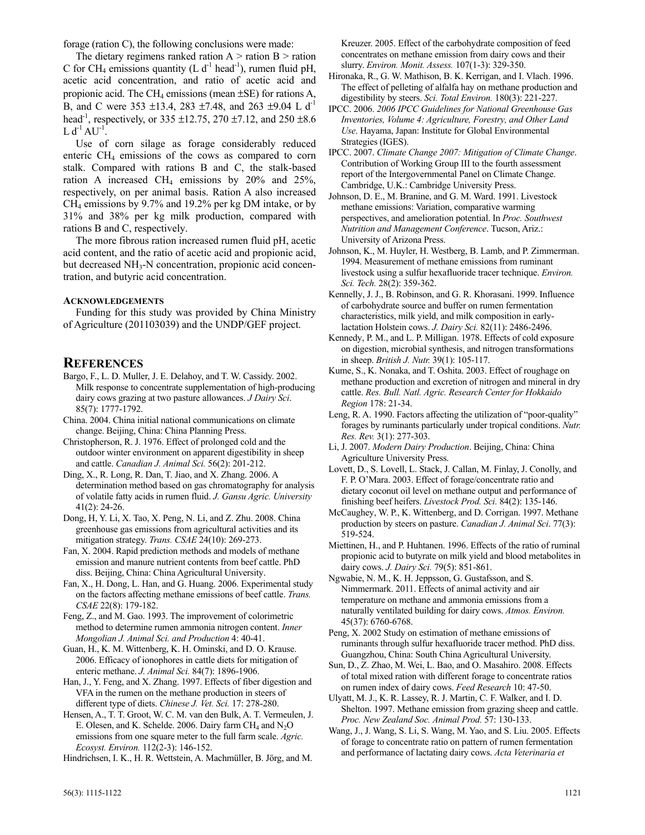forage (ration C), the following conclusions were made:

The dietary regimens ranked ration  $A >$  ration  $B >$  ration C for CH<sub>4</sub> emissions quantity (L  $d^{-1}$  head<sup>-1</sup>), rumen fluid pH, acetic acid concentration, and ratio of acetic acid and propionic acid. The CH<sub>4</sub> emissions (mean  $\pm$ SE) for rations A, B, and C were 353  $\pm$ 13.4, 283  $\pm$ 7.48, and 263  $\pm$ 9.04 L d<sup>-1</sup> head<sup>-1</sup>, respectively, or 335  $\pm$ 12.75, 270  $\pm$ 7.12, and 250  $\pm$ 8.6  $L d^{-1} A U^{-1}$ .

Use of corn silage as forage considerably reduced enteric  $CH<sub>4</sub>$  emissions of the cows as compared to corn stalk. Compared with rations B and C, the stalk-based ration A increased CH<sub>4</sub> emissions by  $20\%$  and  $25\%$ , respectively, on per animal basis. Ration A also increased  $CH<sub>4</sub>$  emissions by 9.7% and 19.2% per kg DM intake, or by 31% and 38% per kg milk production, compared with rations B and C, respectively.

The more fibrous ration increased rumen fluid pH, acetic acid content, and the ratio of acetic acid and propionic acid, but decreased  $NH<sub>3</sub>-N$  concentration, propionic acid concentration, and butyric acid concentration.

#### **ACKNOWLEDGEMENTS**

Funding for this study was provided by China Ministry of Agriculture (201103039) and the UNDP/GEF project.

## **REFERENCES**

- Bargo, F., L. D. Muller, J. E. Delahoy, and T. W. Cassidy. 2002. Milk response to concentrate supplementation of high-producing dairy cows grazing at two pasture allowances. *J Dairy Sci*. 85(7): 1777-1792.
- China. 2004. China initial national communications on climate change. Beijing, China: China Planning Press.

Christopherson, R. J. 1976. Effect of prolonged cold and the outdoor winter environment on apparent digestibility in sheep and cattle. *Canadian J. Animal Sci.* 56(2): 201-212.

- Ding, X., R. Long, R. Dan, T. Jiao, and X. Zhang. 2006. A determination method based on gas chromatography for analysis of volatile fatty acids in rumen fluid. *J. Gansu Agric. University* 41(2): 24-26.
- Dong, H, Y. Li, X. Tao, X. Peng, N. Li, and Z. Zhu. 2008. China greenhouse gas emissions from agricultural activities and its mitigation strategy. *Trans. CSAE* 24(10): 269-273.

Fan, X. 2004. Rapid prediction methods and models of methane emission and manure nutrient contents from beef cattle. PhD diss. Beijing, China: China Agricultural University.

Fan, X., H. Dong, L. Han, and G. Huang. 2006. Experimental study on the factors affecting methane emissions of beef cattle. *Trans. CSAE* 22(8): 179-182.

Feng, Z., and M. Gao. 1993. The improvement of colorimetric method to determine rumen ammonia nitrogen content. *Inner Mongolian J. Animal Sci. and Production* 4: 40-41.

Guan, H., K. M. Wittenberg, K. H. Ominski, and D. O. Krause. 2006. Efficacy of ionophores in cattle diets for mitigation of enteric methane. *J. Animal Sci.* 84(7): 1896-1906.

Han, J., Y. Feng, and X. Zhang. 1997. Effects of fiber digestion and VFA in the rumen on the methane production in steers of different type of diets. *Chinese J. Vet. Sci.* 17: 278-280.

Hensen, A., T. T. Groot, W. C. M. van den Bulk, A. T. Vermeulen, J. E. Olesen, and K. Schelde. 2006. Dairy farm  $CH_4$  and  $N_2O$ emissions from one square meter to the full farm scale. *Agric. Ecosyst. Environ.* 112(2-3): 146-152.

Hindrichsen, I. K., H. R. Wettstein, A. Machmüller, B. Jörg, and M.

Kreuzer. 2005. Effect of the carbohydrate composition of feed concentrates on methane emission from dairy cows and their slurry. *Environ. Monit. Assess.* 107(1-3): 329-350.

- Hironaka, R., G. W. Mathison, B. K. Kerrigan, and I. Vlach. 1996. The effect of pelleting of alfalfa hay on methane production and digestibility by steers. *Sci. Total Environ.* 180(3): 221-227.
- IPCC. 2006. *2006 IPCC Guidelines for National Greenhouse Gas Inventories, Volume 4: Agriculture, Forestry, and Other Land Use*. Hayama, Japan: Institute for Global Environmental Strategies (IGES).

IPCC. 2007. *Climate Change 2007: Mitigation of Climate Change*. Contribution of Working Group III to the fourth assessment report of the Intergovernmental Panel on Climate Change. Cambridge, U.K.: Cambridge University Press.

Johnson, D. E., M. Branine, and G. M. Ward. 1991. Livestock methane emissions: Variation, comparative warming perspectives, and amelioration potential. In *Proc. Southwest Nutrition and Management Conference*. Tucson, Ariz.: University of Arizona Press.

Johnson, K., M. Huyler, H. Westberg, B. Lamb, and P. Zimmerman. 1994. Measurement of methane emissions from ruminant livestock using a sulfur hexafluoride tracer technique. *Environ. Sci. Tech.* 28(2): 359-362.

Kennelly, J. J., B. Robinson, and G. R. Khorasani. 1999. Influence of carbohydrate source and buffer on rumen fermentation characteristics, milk yield, and milk composition in earlylactation Holstein cows. *J. Dairy Sci.* 82(11): 2486-2496.

Kennedy, P. M., and L. P. Milligan. 1978. Effects of cold exposure on digestion, microbial synthesis, and nitrogen transformations in sheep. *British J. Nutr.* 39(1): 105-117.

- Kume, S., K. Nonaka, and T. Oshita. 2003. Effect of roughage on methane production and excretion of nitrogen and mineral in dry cattle. *Res. Bull. Natl. Agric. Research Center for Hokkaido Region* 178: 21-34.
- Leng, R. A. 1990. Factors affecting the utilization of "poor-quality" forages by ruminants particularly under tropical conditions. *Nutr. Res. Rev.* 3(1): 277-303.
- Li, J. 2007. *Modern Dairy Production*. Beijing, China: China Agriculture University Press.

Lovett, D., S. Lovell, L. Stack, J. Callan, M. Finlay, J. Conolly, and F. P. O'Mara. 2003. Effect of forage/concentrate ratio and dietary coconut oil level on methane output and performance of finishing beef heifers. *Livestock Prod. Sci.* 84(2): 135-146.

McCaughey, W. P., K. Wittenberg, and D. Corrigan. 1997. Methane production by steers on pasture. *Canadian J. Animal Sci*. 77(3): 519-524.

Miettinen, H., and P. Huhtanen. 1996. Effects of the ratio of ruminal propionic acid to butyrate on milk yield and blood metabolites in dairy cows. *J. Dairy Sci.* 79(5): 851-861.

Ngwabie, N. M., K. H. Jeppsson, G. Gustafsson, and S. Nimmermark. 2011. Effects of animal activity and air temperature on methane and ammonia emissions from a naturally ventilated building for dairy cows. *Atmos. Environ.* 45(37): 6760-6768.

Peng, X. 2002 Study on estimation of methane emissions of ruminants through sulfur hexafluoride tracer method. PhD diss. Guangzhou, China: South China Agricultural University.

Sun, D., Z. Zhao, M. Wei, L. Bao, and O. Masahiro. 2008. Effects of total mixed ration with different forage to concentrate ratios on rumen index of dairy cows. *Feed Research* 10: 47-50.

Ulyatt, M. J., K. R. Lassey, R. J. Martin, C. F. Walker, and I. D. Shelton. 1997. Methane emission from grazing sheep and cattle. *Proc. New Zealand Soc. Animal Prod.* 57: 130-133.

Wang, J., J. Wang, S. Li, S. Wang, M. Yao, and S. Liu. 2005. Effects of forage to concentrate ratio on pattern of rumen fermentation and performance of lactating dairy cows. *Acta Veterinaria et*